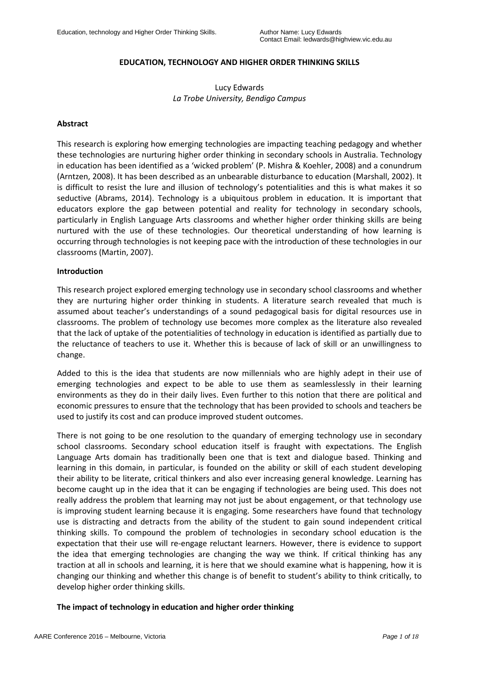# **EDUCATION, TECHNOLOGY AND HIGHER ORDER THINKING SKILLS**

# Lucy Edwards *La Trobe University, Bendigo Campus*

### **Abstract**

This research is exploring how emerging technologies are impacting teaching pedagogy and whether these technologies are nurturing higher order thinking in secondary schools in Australia. Technology in education has been identified as a 'wicked problem' (P. Mishra & Koehler, 2008) and a conundrum (Arntzen, 2008). It has been described as an unbearable disturbance to education (Marshall, 2002). It is difficult to resist the lure and illusion of technology's potentialities and this is what makes it so seductive (Abrams, 2014). Technology is a ubiquitous problem in education. It is important that educators explore the gap between potential and reality for technology in secondary schools, particularly in English Language Arts classrooms and whether higher order thinking skills are being nurtured with the use of these technologies. Our theoretical understanding of how learning is occurring through technologies is not keeping pace with the introduction of these technologies in our classrooms (Martin, 2007).

### **Introduction**

This research project explored emerging technology use in secondary school classrooms and whether they are nurturing higher order thinking in students. A literature search revealed that much is assumed about teacher's understandings of a sound pedagogical basis for digital resources use in classrooms. The problem of technology use becomes more complex as the literature also revealed that the lack of uptake of the potentialities of technology in education is identified as partially due to the reluctance of teachers to use it. Whether this is because of lack of skill or an unwillingness to change.

Added to this is the idea that students are now millennials who are highly adept in their use of emerging technologies and expect to be able to use them as seamlesslessly in their learning environments as they do in their daily lives. Even further to this notion that there are political and economic pressures to ensure that the technology that has been provided to schools and teachers be used to justify its cost and can produce improved student outcomes.

There is not going to be one resolution to the quandary of emerging technology use in secondary school classrooms. Secondary school education itself is fraught with expectations. The English Language Arts domain has traditionally been one that is text and dialogue based. Thinking and learning in this domain, in particular, is founded on the ability or skill of each student developing their ability to be literate, critical thinkers and also ever increasing general knowledge. Learning has become caught up in the idea that it can be engaging if technologies are being used. This does not really address the problem that learning may not just be about engagement, or that technology use is improving student learning because it is engaging. Some researchers have found that technology use is distracting and detracts from the ability of the student to gain sound independent critical thinking skills. To compound the problem of technologies in secondary school education is the expectation that their use will re-engage reluctant learners. However, there is evidence to support the idea that emerging technologies are changing the way we think. If critical thinking has any traction at all in schools and learning, it is here that we should examine what is happening, how it is changing our thinking and whether this change is of benefit to student's ability to think critically, to develop higher order thinking skills.

### **The impact of technology in education and higher order thinking**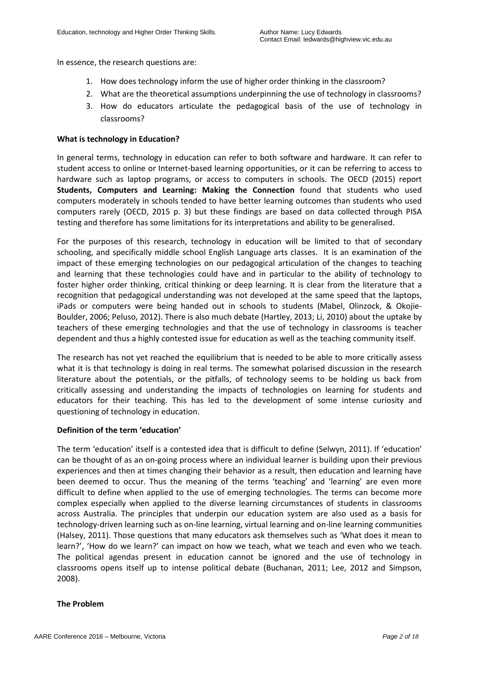In essence, the research questions are:

- 1. How does technology inform the use of higher order thinking in the classroom?
- 2. What are the theoretical assumptions underpinning the use of technology in classrooms?
- 3. How do educators articulate the pedagogical basis of the use of technology in classrooms?

### **What is technology in Education?**

In general terms, technology in education can refer to both software and hardware. It can refer to student access to online or Internet-based learning opportunities, or it can be referring to access to hardware such as laptop programs, or access to computers in schools. The OECD (2015) report **Students, Computers and Learning: Making the Connection** found that students who used computers moderately in schools tended to have better learning outcomes than students who used computers rarely (OECD, 2015 p. 3) but these findings are based on data collected through PISA testing and therefore has some limitations for its interpretations and ability to be generalised.

For the purposes of this research, technology in education will be limited to that of secondary schooling, and specifically middle school English Language arts classes. It is an examination of the impact of these emerging technologies on our pedagogical articulation of the changes to teaching and learning that these technologies could have and in particular to the ability of technology to foster higher order thinking, critical thinking or deep learning. It is clear from the literature that a recognition that pedagogical understanding was not developed at the same speed that the laptops, iPads or computers were being handed out in schools to students (Mabel, Olinzock, & Okojie-Boulder, 2006; Peluso, 2012). There is also much debate (Hartley, 2013; Li, 2010) about the uptake by teachers of these emerging technologies and that the use of technology in classrooms is teacher dependent and thus a highly contested issue for education as well as the teaching community itself.

The research has not yet reached the equilibrium that is needed to be able to more critically assess what it is that technology is doing in real terms. The somewhat polarised discussion in the research literature about the potentials, or the pitfalls, of technology seems to be holding us back from critically assessing and understanding the impacts of technologies on learning for students and educators for their teaching. This has led to the development of some intense curiosity and questioning of technology in education.

# **Definition of the term 'education'**

The term 'education' itself is a contested idea that is difficult to define (Selwyn, 2011). If 'education' can be thought of as an on-going process where an individual learner is building upon their previous experiences and then at times changing their behavior as a result, then education and learning have been deemed to occur. Thus the meaning of the terms 'teaching' and 'learning' are even more difficult to define when applied to the use of emerging technologies. The terms can become more complex especially when applied to the diverse learning circumstances of students in classrooms across Australia. The principles that underpin our education system are also used as a basis for technology-driven learning such as on-line learning, virtual learning and on-line learning communities (Halsey, 2011). Those questions that many educators ask themselves such as 'What does it mean to learn?', 'How do we learn?' can impact on how we teach, what we teach and even who we teach. The political agendas present in education cannot be ignored and the use of technology in classrooms opens itself up to intense political debate (Buchanan, 2011; Lee, 2012 and Simpson, 2008).

### **The Problem**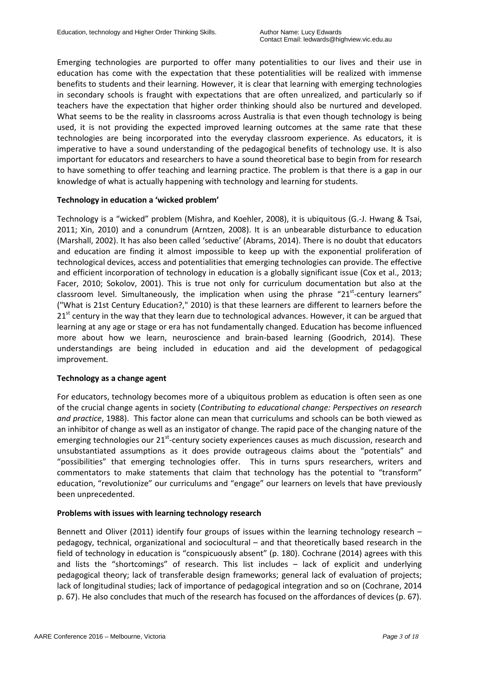Emerging technologies are purported to offer many potentialities to our lives and their use in education has come with the expectation that these potentialities will be realized with immense benefits to students and their learning. However, it is clear that learning with emerging technologies in secondary schools is fraught with expectations that are often unrealized, and particularly so if teachers have the expectation that higher order thinking should also be nurtured and developed. What seems to be the reality in classrooms across Australia is that even though technology is being used, it is not providing the expected improved learning outcomes at the same rate that these technologies are being incorporated into the everyday classroom experience. As educators, it is imperative to have a sound understanding of the pedagogical benefits of technology use. It is also important for educators and researchers to have a sound theoretical base to begin from for research to have something to offer teaching and learning practice. The problem is that there is a gap in our knowledge of what is actually happening with technology and learning for students.

### **Technology in education a 'wicked problem'**

Technology is a "wicked" problem (Mishra, and Koehler, 2008), it is ubiquitous (G.-J. Hwang & Tsai, 2011; Xin, 2010) and a conundrum (Arntzen, 2008). It is an unbearable disturbance to education (Marshall, 2002). It has also been called 'seductive' (Abrams, 2014). There is no doubt that educators and education are finding it almost impossible to keep up with the exponential proliferation of technological devices, access and potentialities that emerging technologies can provide. The effective and efficient incorporation of technology in education is a globally significant issue (Cox et al., 2013; Facer, 2010; Sokolov, 2001). This is true not only for curriculum documentation but also at the classroom level. Simultaneously, the implication when using the phrase "21<sup>st</sup>-century learners" ("What is 21st Century Education?," 2010) is that these learners are different to learners before the  $21<sup>st</sup>$  century in the way that they learn due to technological advances. However, it can be argued that learning at any age or stage or era has not fundamentally changed. Education has become influenced more about how we learn, neuroscience and brain-based learning (Goodrich, 2014). These understandings are being included in education and aid the development of pedagogical improvement.

### **Technology as a change agent**

For educators, technology becomes more of a ubiquitous problem as education is often seen as one of the crucial change agents in society (*Contributing to educational change: Perspectives on research and practice*, 1988). This factor alone can mean that curriculums and schools can be both viewed as an inhibitor of change as well as an instigator of change. The rapid pace of the changing nature of the emerging technologies our 21<sup>st</sup>-century society experiences causes as much discussion, research and unsubstantiated assumptions as it does provide outrageous claims about the "potentials" and "possibilities" that emerging technologies offer. This in turns spurs researchers, writers and commentators to make statements that claim that technology has the potential to "transform" education, "revolutionize" our curriculums and "engage" our learners on levels that have previously been unprecedented.

### **Problems with issues with learning technology research**

Bennett and Oliver (2011) identify four groups of issues within the learning technology research – pedagogy, technical, organizational and sociocultural – and that theoretically based research in the field of technology in education is "conspicuously absent" (p. 180). Cochrane (2014) agrees with this and lists the "shortcomings" of research. This list includes – lack of explicit and underlying pedagogical theory; lack of transferable design frameworks; general lack of evaluation of projects; lack of longitudinal studies; lack of importance of pedagogical integration and so on (Cochrane, 2014 p. 67). He also concludes that much of the research has focused on the affordances of devices (p. 67).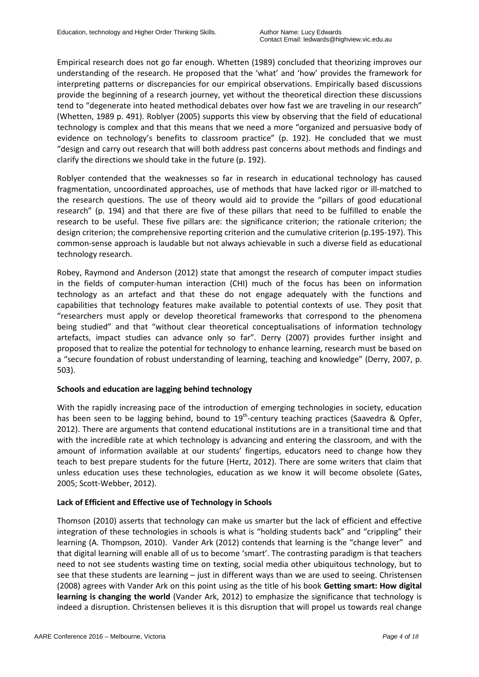Empirical research does not go far enough. Whetten (1989) concluded that theorizing improves our understanding of the research. He proposed that the 'what' and 'how' provides the framework for interpreting patterns or discrepancies for our empirical observations. Empirically based discussions provide the beginning of a research journey, yet without the theoretical direction these discussions tend to "degenerate into heated methodical debates over how fast we are traveling in our research" (Whetten, 1989 p. 491). Roblyer (2005) supports this view by observing that the field of educational technology is complex and that this means that we need a more "organized and persuasive body of evidence on technology's benefits to classroom practice" (p. 192). He concluded that we must "design and carry out research that will both address past concerns about methods and findings and clarify the directions we should take in the future (p. 192).

Roblyer contended that the weaknesses so far in research in educational technology has caused fragmentation, uncoordinated approaches, use of methods that have lacked rigor or ill-matched to the research questions. The use of theory would aid to provide the "pillars of good educational research" (p. 194) and that there are five of these pillars that need to be fulfilled to enable the research to be useful. These five pillars are: the significance criterion; the rationale criterion; the design criterion; the comprehensive reporting criterion and the cumulative criterion (p.195-197). This common-sense approach is laudable but not always achievable in such a diverse field as educational technology research.

Robey, Raymond and Anderson (2012) state that amongst the research of computer impact studies in the fields of computer-human interaction (CHI) much of the focus has been on information technology as an artefact and that these do not engage adequately with the functions and capabilities that technology features make available to potential contexts of use. They posit that "researchers must apply or develop theoretical frameworks that correspond to the phenomena being studied" and that "without clear theoretical conceptualisations of information technology artefacts, impact studies can advance only so far". Derry (2007) provides further insight and proposed that to realize the potential for technology to enhance learning, research must be based on a "secure foundation of robust understanding of learning, teaching and knowledge" (Derry, 2007, p. 503).

# **Schools and education are lagging behind technology**

With the rapidly increasing pace of the introduction of emerging technologies in society, education has been seen to be lagging behind, bound to 19<sup>th</sup>-century teaching practices (Saavedra & Opfer, 2012). There are arguments that contend educational institutions are in a transitional time and that with the incredible rate at which technology is advancing and entering the classroom, and with the amount of information available at our students' fingertips, educators need to change how they teach to best prepare students for the future (Hertz, 2012). There are some writers that claim that unless education uses these technologies, education as we know it will become obsolete (Gates, 2005; Scott-Webber, 2012).

# **Lack of Efficient and Effective use of Technology in Schools**

Thomson (2010) asserts that technology can make us smarter but the lack of efficient and effective integration of these technologies in schools is what is "holding students back" and "crippling" their learning (A. Thompson, 2010). Vander Ark (2012) contends that learning is the "change lever" and that digital learning will enable all of us to become 'smart'. The contrasting paradigm is that teachers need to not see students wasting time on texting, social media other ubiquitous technology, but to see that these students are learning – just in different ways than we are used to seeing. Christensen (2008) agrees with Vander Ark on this point using as the title of his book **Getting smart: How digital learning is changing the world** (Vander Ark, 2012) to emphasize the significance that technology is indeed a disruption. Christensen believes it is this disruption that will propel us towards real change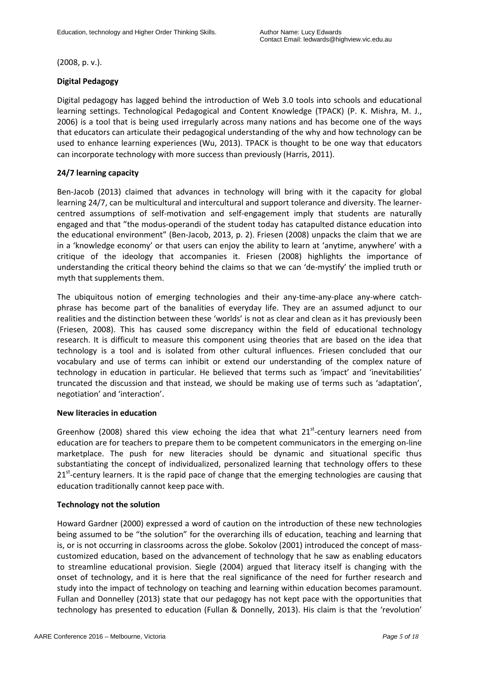(2008, p. v.).

# **Digital Pedagogy**

Digital pedagogy has lagged behind the introduction of Web 3.0 tools into schools and educational learning settings. Technological Pedagogical and Content Knowledge (TPACK) (P. K. Mishra, M. J., 2006) is a tool that is being used irregularly across many nations and has become one of the ways that educators can articulate their pedagogical understanding of the why and how technology can be used to enhance learning experiences (Wu, 2013). TPACK is thought to be one way that educators can incorporate technology with more success than previously (Harris, 2011).

# **24/7 learning capacity**

Ben-Jacob (2013) claimed that advances in technology will bring with it the capacity for global learning 24/7, can be multicultural and intercultural and support tolerance and diversity. The learnercentred assumptions of self-motivation and self-engagement imply that students are naturally engaged and that "the modus-operandi of the student today has catapulted distance education into the educational environment" (Ben-Jacob, 2013, p. 2). Friesen (2008) unpacks the claim that we are in a 'knowledge economy' or that users can enjoy the ability to learn at 'anytime, anywhere' with a critique of the ideology that accompanies it. Friesen (2008) highlights the importance of understanding the critical theory behind the claims so that we can 'de-mystify' the implied truth or myth that supplements them.

The ubiquitous notion of emerging technologies and their any-time-any-place any-where catchphrase has become part of the banalities of everyday life. They are an assumed adjunct to our realities and the distinction between these 'worlds' is not as clear and clean as it has previously been (Friesen, 2008). This has caused some discrepancy within the field of educational technology research. It is difficult to measure this component using theories that are based on the idea that technology is a tool and is isolated from other cultural influences. Friesen concluded that our vocabulary and use of terms can inhibit or extend our understanding of the complex nature of technology in education in particular. He believed that terms such as 'impact' and 'inevitabilities' truncated the discussion and that instead, we should be making use of terms such as 'adaptation', negotiation' and 'interaction'.

# **New literacies in education**

Greenhow (2008) shared this view echoing the idea that what  $21<sup>st</sup>$ -century learners need from education are for teachers to prepare them to be competent communicators in the emerging on-line marketplace. The push for new literacies should be dynamic and situational specific thus substantiating the concept of individualized, personalized learning that technology offers to these 21<sup>st</sup>-century learners. It is the rapid pace of change that the emerging technologies are causing that education traditionally cannot keep pace with.

# **Technology not the solution**

Howard Gardner (2000) expressed a word of caution on the introduction of these new technologies being assumed to be "the solution" for the overarching ills of education, teaching and learning that is, or is not occurring in classrooms across the globe. Sokolov (2001) introduced the concept of masscustomized education, based on the advancement of technology that he saw as enabling educators to streamline educational provision. Siegle (2004) argued that literacy itself is changing with the onset of technology, and it is here that the real significance of the need for further research and study into the impact of technology on teaching and learning within education becomes paramount. Fullan and Donnelley (2013) state that our pedagogy has not kept pace with the opportunities that technology has presented to education (Fullan & Donnelly, 2013). His claim is that the 'revolution'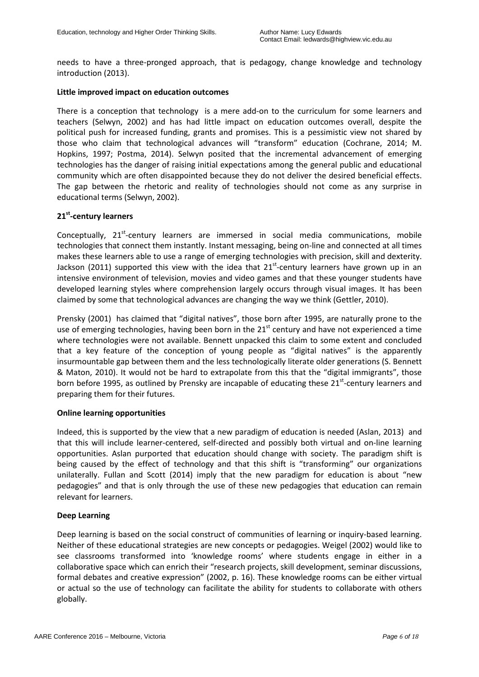needs to have a three-pronged approach, that is pedagogy, change knowledge and technology introduction (2013).

### **Little improved impact on education outcomes**

There is a conception that technology is a mere add-on to the curriculum for some learners and teachers (Selwyn, 2002) and has had little impact on education outcomes overall, despite the political push for increased funding, grants and promises. This is a pessimistic view not shared by those who claim that technological advances will "transform" education (Cochrane, 2014; M. Hopkins, 1997; Postma, 2014). Selwyn posited that the incremental advancement of emerging technologies has the danger of raising initial expectations among the general public and educational community which are often disappointed because they do not deliver the desired beneficial effects. The gap between the rhetoric and reality of technologies should not come as any surprise in educational terms (Selwyn, 2002).

### **21st-century learners**

Conceptually, 21<sup>st</sup>-century learners are immersed in social media communications, mobile technologies that connect them instantly. Instant messaging, being on-line and connected at all times makes these learners able to use a range of emerging technologies with precision, skill and dexterity. Jackson (2011) supported this view with the idea that  $21<sup>st</sup>$ -century learners have grown up in an intensive environment of television, movies and video games and that these younger students have developed learning styles where comprehension largely occurs through visual images. It has been claimed by some that technological advances are changing the way we think (Gettler, 2010).

Prensky (2001) has claimed that "digital natives", those born after 1995, are naturally prone to the use of emerging technologies, having been born in the 21<sup>st</sup> century and have not experienced a time where technologies were not available. Bennett unpacked this claim to some extent and concluded that a key feature of the conception of young people as "digital natives" is the apparently insurmountable gap between them and the less technologically literate older generations (S. Bennett & Maton, 2010). It would not be hard to extrapolate from this that the "digital immigrants", those born before 1995, as outlined by Prensky are incapable of educating these 21<sup>st</sup>-century learners and preparing them for their futures.

### **Online learning opportunities**

Indeed, this is supported by the view that a new paradigm of education is needed (Aslan, 2013) and that this will include learner-centered, self-directed and possibly both virtual and on-line learning opportunities. Aslan purported that education should change with society. The paradigm shift is being caused by the effect of technology and that this shift is "transforming" our organizations unilaterally. Fullan and Scott (2014) imply that the new paradigm for education is about "new pedagogies" and that is only through the use of these new pedagogies that education can remain relevant for learners.

### **Deep Learning**

Deep learning is based on the social construct of communities of learning or inquiry-based learning. Neither of these educational strategies are new concepts or pedagogies. Weigel (2002) would like to see classrooms transformed into 'knowledge rooms' where students engage in either in a collaborative space which can enrich their "research projects, skill development, seminar discussions, formal debates and creative expression" (2002, p. 16). These knowledge rooms can be either virtual or actual so the use of technology can facilitate the ability for students to collaborate with others globally.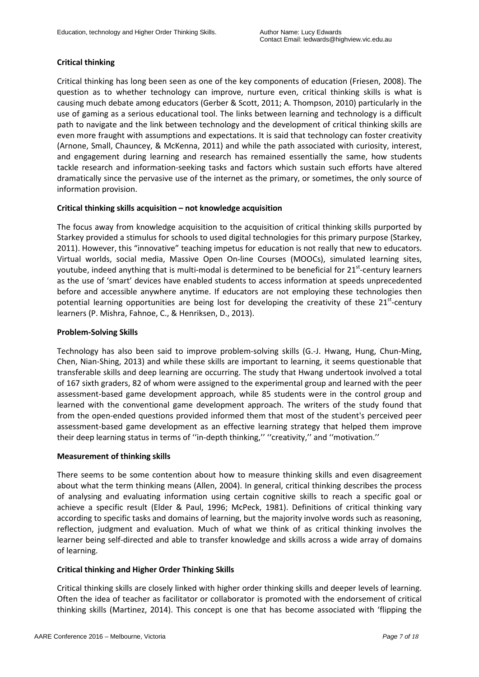# **Critical thinking**

Critical thinking has long been seen as one of the key components of education (Friesen, 2008). The question as to whether technology can improve, nurture even, critical thinking skills is what is causing much debate among educators (Gerber & Scott, 2011; A. Thompson, 2010) particularly in the use of gaming as a serious educational tool. The links between learning and technology is a difficult path to navigate and the link between technology and the development of critical thinking skills are even more fraught with assumptions and expectations. It is said that technology can foster creativity (Arnone, Small, Chauncey, & McKenna, 2011) and while the path associated with curiosity, interest, and engagement during learning and research has remained essentially the same, how students tackle research and information-seeking tasks and factors which sustain such efforts have altered dramatically since the pervasive use of the internet as the primary, or sometimes, the only source of information provision.

### **Critical thinking skills acquisition – not knowledge acquisition**

The focus away from knowledge acquisition to the acquisition of critical thinking skills purported by Starkey provided a stimulus for schools to used digital technologies for this primary purpose (Starkey, 2011). However, this "innovative" teaching impetus for education is not really that new to educators. Virtual worlds, social media, Massive Open On-line Courses (MOOCs), simulated learning sites, youtube, indeed anything that is multi-modal is determined to be beneficial for 21<sup>st</sup>-century learners as the use of 'smart' devices have enabled students to access information at speeds unprecedented before and accessible anywhere anytime. If educators are not employing these technologies then potential learning opportunities are being lost for developing the creativity of these  $21^{st}$ -century learners (P. Mishra, Fahnoe, C., & Henriksen, D., 2013).

# **Problem-Solving Skills**

Technology has also been said to improve problem-solving skills (G.-J. Hwang, Hung, Chun-Ming, Chen, Nian-Shing, 2013) and while these skills are important to learning, it seems questionable that transferable skills and deep learning are occurring. The study that Hwang undertook involved a total of 167 sixth graders, 82 of whom were assigned to the experimental group and learned with the peer assessment-based game development approach, while 85 students were in the control group and learned with the conventional game development approach. The writers of the study found that from the open-ended questions provided informed them that most of the student's perceived peer assessment-based game development as an effective learning strategy that helped them improve their deep learning status in terms of ''in-depth thinking,'' ''creativity,'' and ''motivation.''

### **Measurement of thinking skills**

There seems to be some contention about how to measure thinking skills and even disagreement about what the term thinking means (Allen, 2004). In general, critical thinking describes the process of analysing and evaluating information using certain cognitive skills to reach a specific goal or achieve a specific result (Elder & Paul, 1996; McPeck, 1981). Definitions of critical thinking vary according to specific tasks and domains of learning, but the majority involve words such as reasoning, reflection, judgment and evaluation. Much of what we think of as critical thinking involves the learner being self-directed and able to transfer knowledge and skills across a wide array of domains of learning.

# **Critical thinking and Higher Order Thinking Skills**

Critical thinking skills are closely linked with higher order thinking skills and deeper levels of learning. Often the idea of teacher as facilitator or collaborator is promoted with the endorsement of critical thinking skills (Martinez, 2014). This concept is one that has become associated with 'flipping the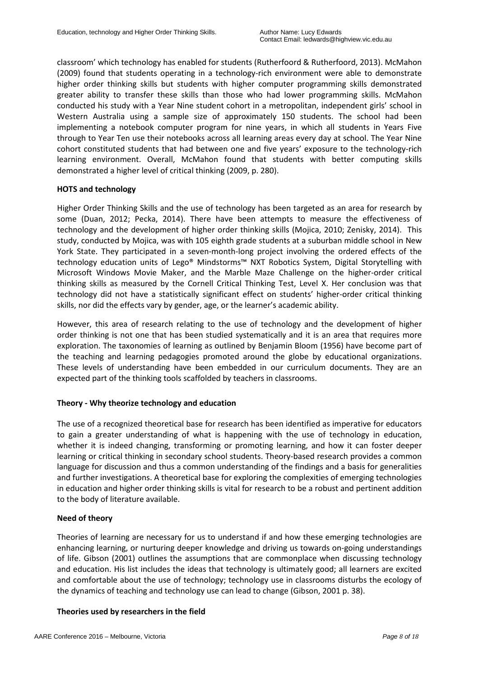classroom' which technology has enabled for students (Rutherfoord & Rutherfoord, 2013). McMahon (2009) found that students operating in a technology-rich environment were able to demonstrate higher order thinking skills but students with higher computer programming skills demonstrated greater ability to transfer these skills than those who had lower programming skills. McMahon conducted his study with a Year Nine student cohort in a metropolitan, independent girls' school in Western Australia using a sample size of approximately 150 students. The school had been implementing a notebook computer program for nine years, in which all students in Years Five through to Year Ten use their notebooks across all learning areas every day at school. The Year Nine cohort constituted students that had between one and five years' exposure to the technology-rich learning environment. Overall, McMahon found that students with better computing skills demonstrated a higher level of critical thinking (2009, p. 280).

### **HOTS and technology**

Higher Order Thinking Skills and the use of technology has been targeted as an area for research by some (Duan, 2012; Pecka, 2014). There have been attempts to measure the effectiveness of technology and the development of higher order thinking skills (Mojica, 2010; Zenisky, 2014). This study, conducted by Mojica, was with 105 eighth grade students at a suburban middle school in New York State. They participated in a seven-month-long project involving the ordered effects of the technology education units of Lego® Mindstorms™ NXT Robotics System, Digital Storytelling with Microsoft Windows Movie Maker, and the Marble Maze Challenge on the higher-order critical thinking skills as measured by the Cornell Critical Thinking Test, Level X. Her conclusion was that technology did not have a statistically significant effect on students' higher-order critical thinking skills, nor did the effects vary by gender, age, or the learner's academic ability.

However, this area of research relating to the use of technology and the development of higher order thinking is not one that has been studied systematically and it is an area that requires more exploration. The taxonomies of learning as outlined by Benjamin Bloom (1956) have become part of the teaching and learning pedagogies promoted around the globe by educational organizations. These levels of understanding have been embedded in our curriculum documents. They are an expected part of the thinking tools scaffolded by teachers in classrooms.

# **Theory - Why theorize technology and education**

The use of a recognized theoretical base for research has been identified as imperative for educators to gain a greater understanding of what is happening with the use of technology in education, whether it is indeed changing, transforming or promoting learning, and how it can foster deeper learning or critical thinking in secondary school students. Theory-based research provides a common language for discussion and thus a common understanding of the findings and a basis for generalities and further investigations. A theoretical base for exploring the complexities of emerging technologies in education and higher order thinking skills is vital for research to be a robust and pertinent addition to the body of literature available.

# **Need of theory**

Theories of learning are necessary for us to understand if and how these emerging technologies are enhancing learning, or nurturing deeper knowledge and driving us towards on-going understandings of life. Gibson (2001) outlines the assumptions that are commonplace when discussing technology and education. His list includes the ideas that technology is ultimately good; all learners are excited and comfortable about the use of technology; technology use in classrooms disturbs the ecology of the dynamics of teaching and technology use can lead to change (Gibson, 2001 p. 38).

# **Theories used by researchers in the field**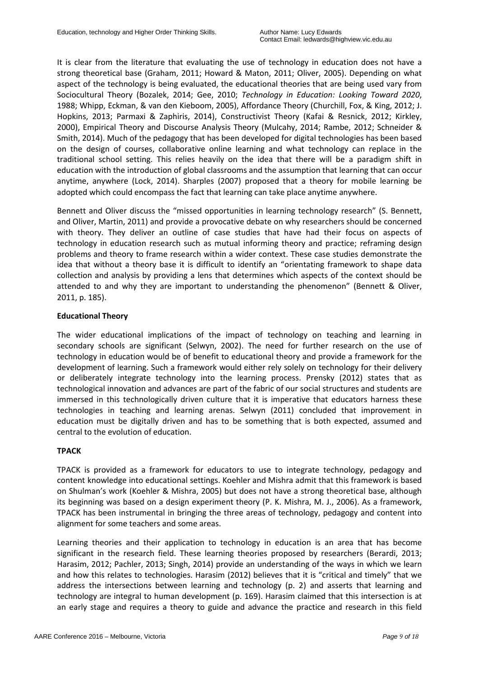It is clear from the literature that evaluating the use of technology in education does not have a strong theoretical base (Graham, 2011; Howard & Maton, 2011; Oliver, 2005). Depending on what aspect of the technology is being evaluated, the educational theories that are being used vary from Sociocultural Theory (Bozalek, 2014; Gee, 2010; *Technology in Education: Looking Toward 2020*, 1988; Whipp, Eckman, & van den Kieboom, 2005), Affordance Theory (Churchill, Fox, & King, 2012; J. Hopkins, 2013; Parmaxi & Zaphiris, 2014), Constructivist Theory (Kafai & Resnick, 2012; Kirkley, 2000), Empirical Theory and Discourse Analysis Theory (Mulcahy, 2014; Rambe, 2012; Schneider & Smith, 2014). Much of the pedagogy that has been developed for digital technologies has been based on the design of courses, collaborative online learning and what technology can replace in the traditional school setting. This relies heavily on the idea that there will be a paradigm shift in education with the introduction of global classrooms and the assumption that learning that can occur anytime, anywhere (Lock, 2014). Sharples (2007) proposed that a theory for mobile learning be adopted which could encompass the fact that learning can take place anytime anywhere.

Bennett and Oliver discuss the "missed opportunities in learning technology research" (S. Bennett, and Oliver, Martin, 2011) and provide a provocative debate on why researchers should be concerned with theory. They deliver an outline of case studies that have had their focus on aspects of technology in education research such as mutual informing theory and practice; reframing design problems and theory to frame research within a wider context. These case studies demonstrate the idea that without a theory base it is difficult to identify an "orientating framework to shape data collection and analysis by providing a lens that determines which aspects of the context should be attended to and why they are important to understanding the phenomenon" (Bennett & Oliver, 2011, p. 185).

# **Educational Theory**

The wider educational implications of the impact of technology on teaching and learning in secondary schools are significant (Selwyn, 2002). The need for further research on the use of technology in education would be of benefit to educational theory and provide a framework for the development of learning. Such a framework would either rely solely on technology for their delivery or deliberately integrate technology into the learning process. Prensky (2012) states that as technological innovation and advances are part of the fabric of our social structures and students are immersed in this technologically driven culture that it is imperative that educators harness these technologies in teaching and learning arenas. Selwyn (2011) concluded that improvement in education must be digitally driven and has to be something that is both expected, assumed and central to the evolution of education.

### **TPACK**

TPACK is provided as a framework for educators to use to integrate technology, pedagogy and content knowledge into educational settings. Koehler and Mishra admit that this framework is based on Shulman's work (Koehler & Mishra, 2005) but does not have a strong theoretical base, although its beginning was based on a design experiment theory (P. K. Mishra, M. J., 2006). As a framework, TPACK has been instrumental in bringing the three areas of technology, pedagogy and content into alignment for some teachers and some areas.

Learning theories and their application to technology in education is an area that has become significant in the research field. These learning theories proposed by researchers (Berardi, 2013; Harasim, 2012; Pachler, 2013; Singh, 2014) provide an understanding of the ways in which we learn and how this relates to technologies. Harasim (2012) believes that it is "critical and timely" that we address the intersections between learning and technology (p. 2) and asserts that learning and technology are integral to human development (p. 169). Harasim claimed that this intersection is at an early stage and requires a theory to guide and advance the practice and research in this field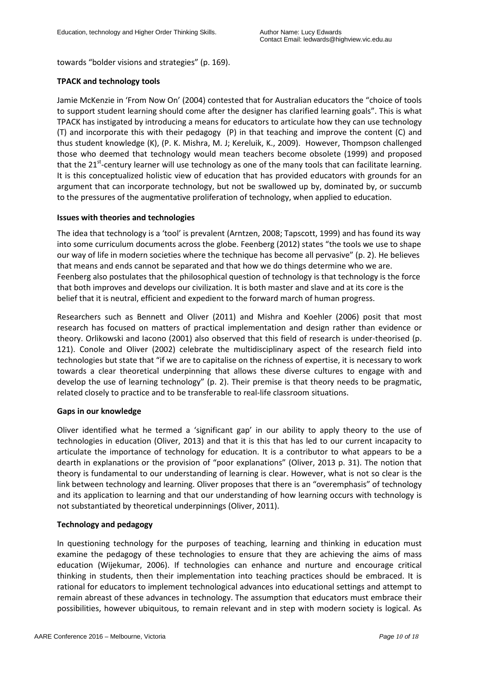towards "bolder visions and strategies" (p. 169).

# **TPACK and technology tools**

Jamie McKenzie in 'From Now On' (2004) contested that for Australian educators the "choice of tools to support student learning should come after the designer has clarified learning goals". This is what TPACK has instigated by introducing a means for educators to articulate how they can use technology (T) and incorporate this with their pedagogy (P) in that teaching and improve the content (C) and thus student knowledge (K), (P. K. Mishra, M. J; Kereluik, K., 2009). However, Thompson challenged those who deemed that technology would mean teachers become obsolete (1999) and proposed that the 21<sup>st</sup>-century learner will use technology as one of the many tools that can facilitate learning. It is this conceptualized holistic view of education that has provided educators with grounds for an argument that can incorporate technology, but not be swallowed up by, dominated by, or succumb to the pressures of the augmentative proliferation of technology, when applied to education.

# **Issues with theories and technologies**

The idea that technology is a 'tool' is prevalent (Arntzen, 2008; Tapscott, 1999) and has found its way into some curriculum documents across the globe. Feenberg (2012) states "the tools we use to shape our way of life in modern societies where the technique has become all pervasive" (p. 2). He believes that means and ends cannot be separated and that how we do things determine who we are. Feenberg also postulates that the philosophical question of technology is that technology is the force that both improves and develops our civilization. It is both master and slave and at its core is the belief that it is neutral, efficient and expedient to the forward march of human progress.

Researchers such as Bennett and Oliver (2011) and Mishra and Koehler (2006) posit that most research has focused on matters of practical implementation and design rather than evidence or theory. Orlikowski and Iacono (2001) also observed that this field of research is under-theorised (p. 121). Conole and Oliver (2002) celebrate the multidisciplinary aspect of the research field into technologies but state that "if we are to capitalise on the richness of expertise, it is necessary to work towards a clear theoretical underpinning that allows these diverse cultures to engage with and develop the use of learning technology" (p. 2). Their premise is that theory needs to be pragmatic, related closely to practice and to be transferable to real-life classroom situations.

# **Gaps in our knowledge**

Oliver identified what he termed a 'significant gap' in our ability to apply theory to the use of technologies in education (Oliver, 2013) and that it is this that has led to our current incapacity to articulate the importance of technology for education. It is a contributor to what appears to be a dearth in explanations or the provision of "poor explanations" (Oliver, 2013 p. 31). The notion that theory is fundamental to our understanding of learning is clear. However, what is not so clear is the link between technology and learning. Oliver proposes that there is an "overemphasis" of technology and its application to learning and that our understanding of how learning occurs with technology is not substantiated by theoretical underpinnings (Oliver, 2011).

# **Technology and pedagogy**

In questioning technology for the purposes of teaching, learning and thinking in education must examine the pedagogy of these technologies to ensure that they are achieving the aims of mass education (Wijekumar, 2006). If technologies can enhance and nurture and encourage critical thinking in students, then their implementation into teaching practices should be embraced. It is rational for educators to implement technological advances into educational settings and attempt to remain abreast of these advances in technology. The assumption that educators must embrace their possibilities, however ubiquitous, to remain relevant and in step with modern society is logical. As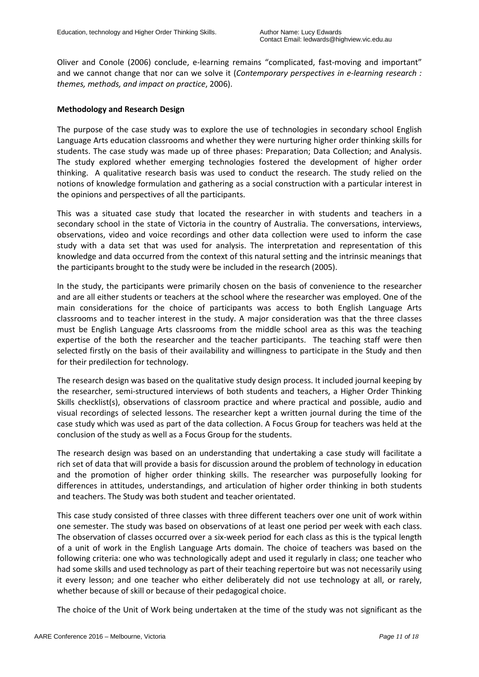Oliver and Conole (2006) conclude, e-learning remains "complicated, fast-moving and important" and we cannot change that nor can we solve it (*Contemporary perspectives in e-learning research : themes, methods, and impact on practice*, 2006).

### **Methodology and Research Design**

The purpose of the case study was to explore the use of technologies in secondary school English Language Arts education classrooms and whether they were nurturing higher order thinking skills for students. The case study was made up of three phases: Preparation; Data Collection; and Analysis. The study explored whether emerging technologies fostered the development of higher order thinking. A qualitative research basis was used to conduct the research. The study relied on the notions of knowledge formulation and gathering as a social construction with a particular interest in the opinions and perspectives of all the participants.

This was a situated case study that located the researcher in with students and teachers in a secondary school in the state of Victoria in the country of Australia. The conversations, interviews, observations, video and voice recordings and other data collection were used to inform the case study with a data set that was used for analysis. The interpretation and representation of this knowledge and data occurred from the context of this natural setting and the intrinsic meanings that the participants brought to the study were be included in the research (2005).

In the study, the participants were primarily chosen on the basis of convenience to the researcher and are all either students or teachers at the school where the researcher was employed. One of the main considerations for the choice of participants was access to both English Language Arts classrooms and to teacher interest in the study. A major consideration was that the three classes must be English Language Arts classrooms from the middle school area as this was the teaching expertise of the both the researcher and the teacher participants. The teaching staff were then selected firstly on the basis of their availability and willingness to participate in the Study and then for their predilection for technology.

The research design was based on the qualitative study design process. It included journal keeping by the researcher, semi-structured interviews of both students and teachers, a Higher Order Thinking Skills checklist(s), observations of classroom practice and where practical and possible, audio and visual recordings of selected lessons. The researcher kept a written journal during the time of the case study which was used as part of the data collection. A Focus Group for teachers was held at the conclusion of the study as well as a Focus Group for the students.

The research design was based on an understanding that undertaking a case study will facilitate a rich set of data that will provide a basis for discussion around the problem of technology in education and the promotion of higher order thinking skills. The researcher was purposefully looking for differences in attitudes, understandings, and articulation of higher order thinking in both students and teachers. The Study was both student and teacher orientated.

This case study consisted of three classes with three different teachers over one unit of work within one semester. The study was based on observations of at least one period per week with each class. The observation of classes occurred over a six-week period for each class as this is the typical length of a unit of work in the English Language Arts domain. The choice of teachers was based on the following criteria: one who was technologically adept and used it regularly in class; one teacher who had some skills and used technology as part of their teaching repertoire but was not necessarily using it every lesson; and one teacher who either deliberately did not use technology at all, or rarely, whether because of skill or because of their pedagogical choice.

The choice of the Unit of Work being undertaken at the time of the study was not significant as the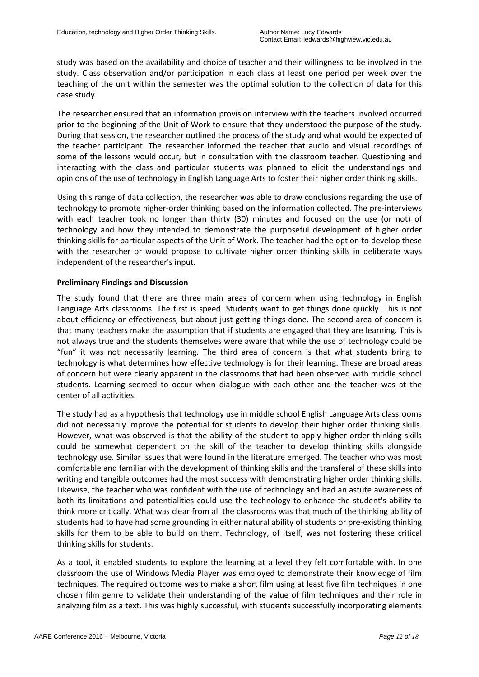study was based on the availability and choice of teacher and their willingness to be involved in the study. Class observation and/or participation in each class at least one period per week over the teaching of the unit within the semester was the optimal solution to the collection of data for this case study.

The researcher ensured that an information provision interview with the teachers involved occurred prior to the beginning of the Unit of Work to ensure that they understood the purpose of the study. During that session, the researcher outlined the process of the study and what would be expected of the teacher participant. The researcher informed the teacher that audio and visual recordings of some of the lessons would occur, but in consultation with the classroom teacher. Questioning and interacting with the class and particular students was planned to elicit the understandings and opinions of the use of technology in English Language Arts to foster their higher order thinking skills.

Using this range of data collection, the researcher was able to draw conclusions regarding the use of technology to promote higher-order thinking based on the information collected. The pre-interviews with each teacher took no longer than thirty (30) minutes and focused on the use (or not) of technology and how they intended to demonstrate the purposeful development of higher order thinking skills for particular aspects of the Unit of Work. The teacher had the option to develop these with the researcher or would propose to cultivate higher order thinking skills in deliberate ways independent of the researcher's input.

# **Preliminary Findings and Discussion**

The study found that there are three main areas of concern when using technology in English Language Arts classrooms. The first is speed. Students want to get things done quickly. This is not about efficiency or effectiveness, but about just getting things done. The second area of concern is that many teachers make the assumption that if students are engaged that they are learning. This is not always true and the students themselves were aware that while the use of technology could be "fun" it was not necessarily learning. The third area of concern is that what students bring to technology is what determines how effective technology is for their learning. These are broad areas of concern but were clearly apparent in the classrooms that had been observed with middle school students. Learning seemed to occur when dialogue with each other and the teacher was at the center of all activities.

The study had as a hypothesis that technology use in middle school English Language Arts classrooms did not necessarily improve the potential for students to develop their higher order thinking skills. However, what was observed is that the ability of the student to apply higher order thinking skills could be somewhat dependent on the skill of the teacher to develop thinking skills alongside technology use. Similar issues that were found in the literature emerged. The teacher who was most comfortable and familiar with the development of thinking skills and the transferal of these skills into writing and tangible outcomes had the most success with demonstrating higher order thinking skills. Likewise, the teacher who was confident with the use of technology and had an astute awareness of both its limitations and potentialities could use the technology to enhance the student's ability to think more critically. What was clear from all the classrooms was that much of the thinking ability of students had to have had some grounding in either natural ability of students or pre-existing thinking skills for them to be able to build on them. Technology, of itself, was not fostering these critical thinking skills for students.

As a tool, it enabled students to explore the learning at a level they felt comfortable with. In one classroom the use of Windows Media Player was employed to demonstrate their knowledge of film techniques. The required outcome was to make a short film using at least five film techniques in one chosen film genre to validate their understanding of the value of film techniques and their role in analyzing film as a text. This was highly successful, with students successfully incorporating elements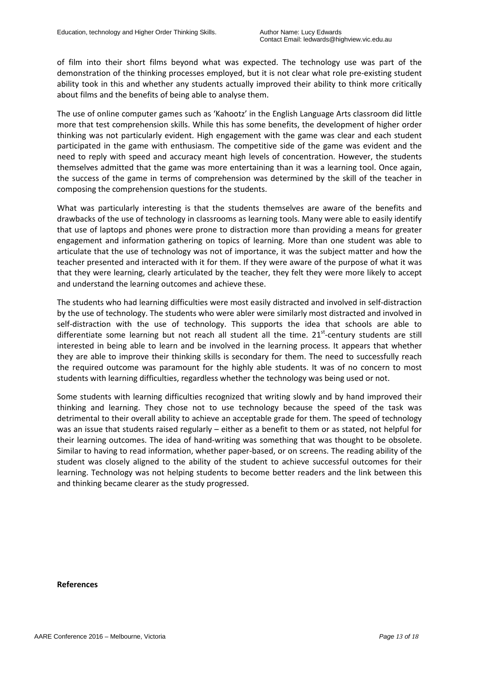of film into their short films beyond what was expected. The technology use was part of the demonstration of the thinking processes employed, but it is not clear what role pre-existing student ability took in this and whether any students actually improved their ability to think more critically about films and the benefits of being able to analyse them.

The use of online computer games such as 'Kahootz' in the English Language Arts classroom did little more that test comprehension skills. While this has some benefits, the development of higher order thinking was not particularly evident. High engagement with the game was clear and each student participated in the game with enthusiasm. The competitive side of the game was evident and the need to reply with speed and accuracy meant high levels of concentration. However, the students themselves admitted that the game was more entertaining than it was a learning tool. Once again, the success of the game in terms of comprehension was determined by the skill of the teacher in composing the comprehension questions for the students.

What was particularly interesting is that the students themselves are aware of the benefits and drawbacks of the use of technology in classrooms as learning tools. Many were able to easily identify that use of laptops and phones were prone to distraction more than providing a means for greater engagement and information gathering on topics of learning. More than one student was able to articulate that the use of technology was not of importance, it was the subject matter and how the teacher presented and interacted with it for them. If they were aware of the purpose of what it was that they were learning, clearly articulated by the teacher, they felt they were more likely to accept and understand the learning outcomes and achieve these.

The students who had learning difficulties were most easily distracted and involved in self-distraction by the use of technology. The students who were abler were similarly most distracted and involved in self-distraction with the use of technology. This supports the idea that schools are able to differentiate some learning but not reach all student all the time. 21<sup>st</sup>-century students are still interested in being able to learn and be involved in the learning process. It appears that whether they are able to improve their thinking skills is secondary for them. The need to successfully reach the required outcome was paramount for the highly able students. It was of no concern to most students with learning difficulties, regardless whether the technology was being used or not.

Some students with learning difficulties recognized that writing slowly and by hand improved their thinking and learning. They chose not to use technology because the speed of the task was detrimental to their overall ability to achieve an acceptable grade for them. The speed of technology was an issue that students raised regularly – either as a benefit to them or as stated, not helpful for their learning outcomes. The idea of hand-writing was something that was thought to be obsolete. Similar to having to read information, whether paper-based, or on screens. The reading ability of the student was closely aligned to the ability of the student to achieve successful outcomes for their learning. Technology was not helping students to become better readers and the link between this and thinking became clearer as the study progressed.

### **References**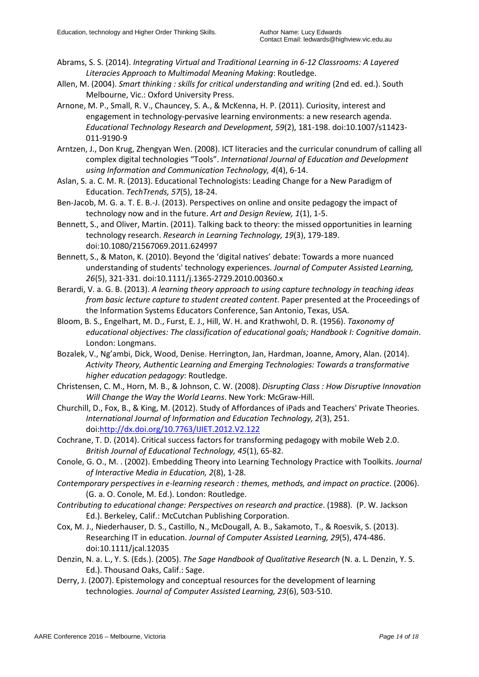- Abrams, S. S. (2014). *Integrating Virtual and Traditional Learning in 6-12 Classrooms: A Layered Literacies Approach to Multimodal Meaning Making*: Routledge.
- Allen, M. (2004). *Smart thinking : skills for critical understanding and writing* (2nd ed. ed.). South Melbourne, Vic.: Oxford University Press.
- Arnone, M. P., Small, R. V., Chauncey, S. A., & McKenna, H. P. (2011). Curiosity, interest and engagement in technology-pervasive learning environments: a new research agenda. *Educational Technology Research and Development, 59*(2), 181-198. doi:10.1007/s11423- 011-9190-9
- Arntzen, J., Don Krug, Zhengyan Wen. (2008). ICT literacies and the curricular conundrum of calling all complex digital technologies "Tools". *International Journal of Education and Development using Information and Communication Technology, 4*(4), 6-14.
- Aslan, S. a. C. M. R. (2013). Educational Technologists: Leading Change for a New Paradigm of Education. *TechTrends, 57*(5), 18-24.
- Ben-Jacob, M. G. a. T. E. B.-J. (2013). Perspectives on online and onsite pedagogy the impact of technology now and in the future. *Art and Design Review, 1*(1), 1-5.
- Bennett, S., and Oliver, Martin. (2011). Talking back to theory: the missed opportunities in learning technology research. *Research in Learning Technology, 19*(3), 179-189. doi:10.1080/21567069.2011.624997
- Bennett, S., & Maton, K. (2010). Beyond the 'digital natives' debate: Towards a more nuanced understanding of students' technology experiences. *Journal of Computer Assisted Learning, 26*(5), 321-331. doi:10.1111/j.1365-2729.2010.00360.x
- Berardi, V. a. G. B. (2013). *A learning theory approach to using capture technology in teaching ideas from basic lecture capture to student created content*. Paper presented at the Proceedings of the Information Systems Educators Conference, San Antonio, Texas, USA.
- Bloom, B. S., Engelhart, M. D., Furst, E. J., Hill, W. H. and Krathwohl, D. R. (1956). *Taxonomy of educational objectives: The classification of educational goals; Handbook I: Cognitive domain*. London: Longmans.
- Bozalek, V., Ng'ambi, Dick, Wood, Denise. Herrington, Jan, Hardman, Joanne, Amory, Alan. (2014). *Activity Theory, Authentic Learning and Emerging Technologies: Towards a transformative higher education pedagogy*: Routledge.
- Christensen, C. M., Horn, M. B., & Johnson, C. W. (2008). *Disrupting Class : How Disruptive Innovation Will Change the Way the World Learns*. New York: McGraw-Hill.
- Churchill, D., Fox, B., & King, M. (2012). Study of Affordances of iPads and Teachers' Private Theories. *International Journal of Information and Education Technology, 2*(3), 251. doi[:http://dx.doi.org/10.7763/IJIET.2012.V2.122](http://dx.doi.org/10.7763/IJIET.2012.V2.122)
- Cochrane, T. D. (2014). Critical success factors for transforming pedagogy with mobile Web 2.0. *British Journal of Educational Technology, 45*(1), 65-82.
- Conole, G. O., M. . (2002). Embedding Theory into Learning Technology Practice with Toolkits. *Journal of Interactive Media in Education, 2*(8), 1-28.
- *Contemporary perspectives in e-learning research : themes, methods, and impact on practice*. (2006). (G. a. O. Conole, M. Ed.). London: Routledge.
- *Contributing to educational change: Perspectives on research and practice*. (1988). (P. W. Jackson Ed.). Berkeley, Calif.: McCutchan Publishing Corporation.
- Cox, M. J., Niederhauser, D. S., Castillo, N., McDougall, A. B., Sakamoto, T., & Roesvik, S. (2013). Researching IT in education. *Journal of Computer Assisted Learning, 29*(5), 474-486. doi:10.1111/jcal.12035
- Denzin, N. a. L., Y. S. (Eds.). (2005). *The Sage Handbook of Qualitative Research* (N. a. L. Denzin, Y. S. Ed.). Thousand Oaks, Calif.: Sage.
- Derry, J. (2007). Epistemology and conceptual resources for the development of learning technologies. *Journal of Computer Assisted Learning, 23*(6), 503-510.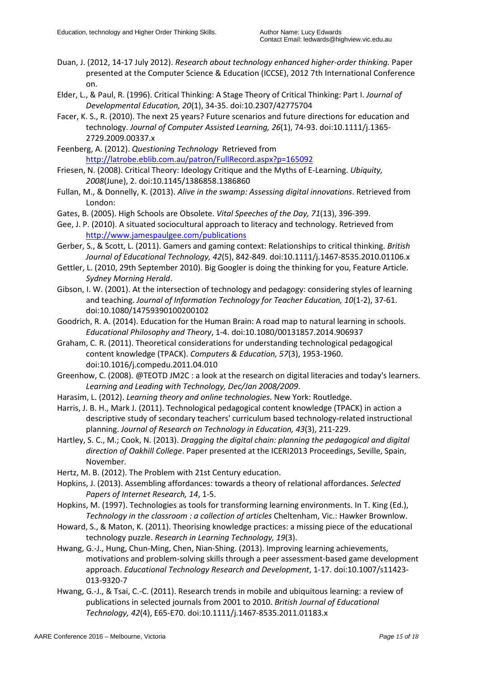- Duan, J. (2012, 14-17 July 2012). *Research about technology enhanced higher-order thinking.* Paper presented at the Computer Science & Education (ICCSE), 2012 7th International Conference on.
- Elder, L., & Paul, R. (1996). Critical Thinking: A Stage Theory of Critical Thinking: Part I. *Journal of Developmental Education, 20*(1), 34-35. doi:10.2307/42775704
- Facer, K. S., R. (2010). The next 25 years? Future scenarios and future directions for education and technology. *Journal of Computer Assisted Learning, 26*(1), 74-93. doi:10.1111/j.1365- 2729.2009.00337.x
- Feenberg, A. (2012). *Questioning Technology* Retrieved from <http://latrobe.eblib.com.au/patron/FullRecord.aspx?p=165092>
- Friesen, N. (2008). Critical Theory: Ideology Critique and the Myths of E-Learning. *Ubiquity, 2008*(June), 2. doi:10.1145/1386858.1386860
- Fullan, M., & Donnelly, K. (2013). *Alive in the swamp: Assessing digital innovations*. Retrieved from London:
- Gates, B. (2005). High Schools are Obsolete. *Vital Speeches of the Day, 71*(13), 396-399.
- Gee, J. P. (2010). A situated sociocultural approach to literacy and technology. Retrieved from <http://www.jamespaulgee.com/publications>
- Gerber, S., & Scott, L. (2011). Gamers and gaming context: Relationships to critical thinking. *British Journal of Educational Technology, 42*(5), 842-849. doi:10.1111/j.1467-8535.2010.01106.x
- Gettler, L. (2010, 29th September 2010). Big Googler is doing the thinking for you, Feature Article. *Sydney Morning Herald*.
- Gibson, I. W. (2001). At the intersection of technology and pedagogy: considering styles of learning and teaching. *Journal of Information Technology for Teacher Education, 10*(1-2), 37-61. doi:10.1080/14759390100200102
- Goodrich, R. A. (2014). Education for the Human Brain: A road map to natural learning in schools. *Educational Philosophy and Theory*, 1-4. doi:10.1080/00131857.2014.906937
- Graham, C. R. (2011). Theoretical considerations for understanding technological pedagogical content knowledge (TPACK). *Computers & Education, 57*(3), 1953-1960. doi:10.1016/j.compedu.2011.04.010
- Greenhow, C. (2008). @TEOTD JM2C : a look at the research on digital literacies and today's learners. *Learning and Leading with Technology, Dec/Jan 2008/2009*.
- Harasim, L. (2012). *Learning theory and online technologies*. New York: Routledge.
- Harris, J. B. H., Mark J. (2011). Technological pedagogical content knowledge (TPACK) in action a descriptive study of secondary teachers' curriculum based technology-related instructional planning. *Journal of Research on Technology in Education, 43*(3), 211-229.
- Hartley, S. C., M.; Cook, N. (2013). *Dragging the digital chain: planning the pedagogical and digital direction of Oakhill College*. Paper presented at the ICERI2013 Proceedings, Seville, Spain, November.
- Hertz, M. B. (2012). The Problem with 21st Century education.
- Hopkins, J. (2013). Assembling affordances: towards a theory of relational affordances. *Selected Papers of Internet Research, 14*, 1-5.
- Hopkins, M. (1997). Technologies as tools for transforming learning environments. In T. King (Ed.), *Technology in the classroom : a collection of articles* Cheltenham, Vic.: Hawker Brownlow.
- Howard, S., & Maton, K. (2011). Theorising knowledge practices: a missing piece of the educational technology puzzle. *Research in Learning Technology, 19*(3).
- Hwang, G.-J., Hung, Chun-Ming, Chen, Nian-Shing. (2013). Improving learning achievements, motivations and problem-solving skills through a peer assessment-based game development approach. *Educational Technology Research and Development*, 1-17. doi:10.1007/s11423- 013-9320-7
- Hwang, G.-J., & Tsai, C.-C. (2011). Research trends in mobile and ubiquitous learning: a review of publications in selected journals from 2001 to 2010. *British Journal of Educational Technology, 42*(4), E65-E70. doi:10.1111/j.1467-8535.2011.01183.x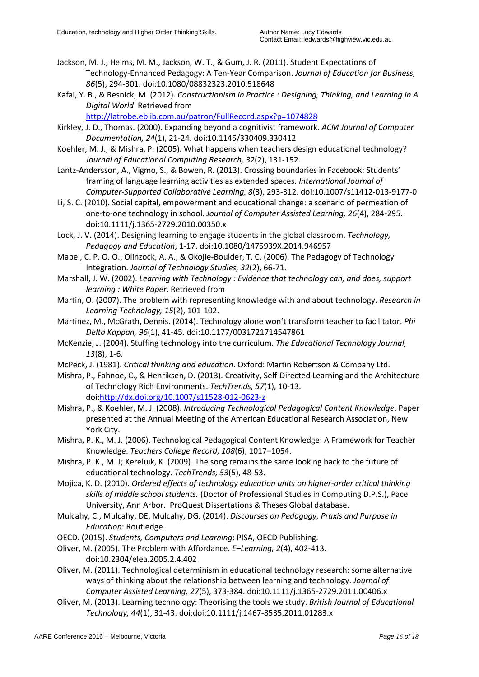- Jackson, M. J., Helms, M. M., Jackson, W. T., & Gum, J. R. (2011). Student Expectations of Technology-Enhanced Pedagogy: A Ten-Year Comparison. *Journal of Education for Business, 86*(5), 294-301. doi:10.1080/08832323.2010.518648
- Kafai, Y. B., & Resnick, M. (2012). *Constructionism in Practice : Designing, Thinking, and Learning in A Digital World* Retrieved from

<http://latrobe.eblib.com.au/patron/FullRecord.aspx?p=1074828>

- Kirkley, J. D., Thomas. (2000). Expanding beyond a cognitivist framework. *ACM Journal of Computer Documentation, 24*(1), 21-24. doi:10.1145/330409.330412
- Koehler, M. J., & Mishra, P. (2005). What happens when teachers design educational technology? *Journal of Educational Computing Research, 32*(2), 131-152.
- Lantz-Andersson, A., Vigmo, S., & Bowen, R. (2013). Crossing boundaries in Facebook: Students' framing of language learning activities as extended spaces. *International Journal of Computer-Supported Collaborative Learning, 8*(3), 293-312. doi:10.1007/s11412-013-9177-0
- Li, S. C. (2010). Social capital, empowerment and educational change: a scenario of permeation of one-to-one technology in school. *Journal of Computer Assisted Learning, 26*(4), 284-295. doi:10.1111/j.1365-2729.2010.00350.x
- Lock, J. V. (2014). Designing learning to engage students in the global classroom. *Technology, Pedagogy and Education*, 1-17. doi:10.1080/1475939X.2014.946957
- Mabel, C. P. O. O., Olinzock, A. A., & Okojie-Boulder, T. C. (2006). The Pedagogy of Technology Integration. *Journal of Technology Studies, 32*(2), 66-71.
- Marshall, J. W. (2002). *Learning with Technology : Evidence that technology can, and does, support learning : White Paper*. Retrieved from
- Martin, O. (2007). The problem with representing knowledge with and about technology. *Research in Learning Technology, 15*(2), 101-102.
- Martinez, M., McGrath, Dennis. (2014). Technology alone won't transform teacher to facilitator. *Phi Delta Kappan, 96*(1), 41-45. doi:10.1177/0031721714547861
- McKenzie, J. (2004). Stuffing technology into the curriculum. *The Educational Technology Journal, 13*(8), 1-6.
- McPeck, J. (1981). *Critical thinking and education*. Oxford: Martin Robertson & Company Ltd.
- Mishra, P., Fahnoe, C., & Henriksen, D. (2013). Creativity, Self-Directed Learning and the Architecture of Technology Rich Environments. *TechTrends, 57*(1), 10-13. doi[:http://dx.doi.org/10.1007/s11528-012-0623-z](http://dx.doi.org/10.1007/s11528-012-0623-z)
- Mishra, P., & Koehler, M. J. (2008). *Introducing Technological Pedagogical Content Knowledge*. Paper presented at the Annual Meeting of the American Educational Research Association, New York City.
- Mishra, P. K., M. J. (2006). Technological Pedagogical Content Knowledge: A Framework for Teacher Knowledge. *Teachers College Record, 108*(6), 1017–1054.
- Mishra, P. K., M. J; Kereluik, K. (2009). The song remains the same looking back to the future of educational technology. *TechTrends, 53*(5), 48-53.
- Mojica, K. D. (2010). *Ordered effects of technology education units on higher-order critical thinking skills of middle school students.* (Doctor of Professional Studies in Computing D.P.S.), Pace University, Ann Arbor. ProQuest Dissertations & Theses Global database.
- Mulcahy, C., Mulcahy, DE, Mulcahy, DG. (2014). *Discourses on Pedagogy, Praxis and Purpose in Education*: Routledge.
- OECD. (2015). *Students, Computers and Learning*: PISA, OECD Publishing.
- Oliver, M. (2005). The Problem with Affordance. *E–Learning, 2*(4), 402-413. doi:10.2304/elea.2005.2.4.402
- Oliver, M. (2011). Technological determinism in educational technology research: some alternative ways of thinking about the relationship between learning and technology. *Journal of Computer Assisted Learning, 27*(5), 373-384. doi:10.1111/j.1365-2729.2011.00406.x
- Oliver, M. (2013). Learning technology: Theorising the tools we study. *British Journal of Educational Technology, 44*(1), 31-43. doi:doi:10.1111/j.1467-8535.2011.01283.x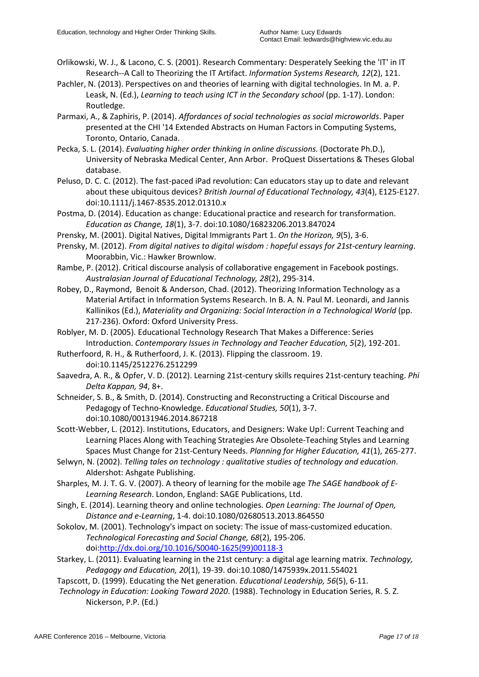- Orlikowski, W. J., & Lacono, C. S. (2001). Research Commentary: Desperately Seeking the 'IT' in IT Research--A Call to Theorizing the IT Artifact. *Information Systems Research, 12*(2), 121.
- Pachler, N. (2013). Perspectives on and theories of learning with digital technologies. In M. a. P. Leask, N. (Ed.), *Learning to teach using ICT in the Secondary school* (pp. 1-17). London: Routledge.
- Parmaxi, A., & Zaphiris, P. (2014). *Affordances of social technologies as social microworlds*. Paper presented at the CHI '14 Extended Abstracts on Human Factors in Computing Systems, Toronto, Ontario, Canada.
- Pecka, S. L. (2014). *Evaluating higher order thinking in online discussions.* (Doctorate Ph.D.), University of Nebraska Medical Center, Ann Arbor. ProQuest Dissertations & Theses Global database.
- Peluso, D. C. C. (2012). The fast-paced iPad revolution: Can educators stay up to date and relevant about these ubiquitous devices? *British Journal of Educational Technology, 43*(4), E125-E127. doi:10.1111/j.1467-8535.2012.01310.x
- Postma, D. (2014). Education as change: Educational practice and research for transformation. *Education as Change, 18*(1), 3-7. doi:10.1080/16823206.2013.847024
- Prensky, M. (2001). Digital Natives, Digital Immigrants Part 1. *On the Horizon, 9*(5), 3-6.
- Prensky, M. (2012). *From digital natives to digital wisdom : hopeful essays for 21st-century learning*. Moorabbin, Vic.: Hawker Brownlow.
- Rambe, P. (2012). Critical discourse analysis of collaborative engagement in Facebook postings. *Australasian Journal of Educational Technology, 28*(2), 295-314.
- Robey, D., Raymond, Benoit & Anderson, Chad. (2012). Theorizing Information Technology as a Material Artifact in Information Systems Research. In B. A. N. Paul M. Leonardi, and Jannis Kallinikos (Ed.), *Materiality and Organizing: Social Interaction in a Technological World* (pp. 217-236). Oxford: Oxford University Press.
- Roblyer, M. D. (2005). Educational Technology Research That Makes a Difference: Series Introduction. *Contemporary Issues in Technology and Teacher Education, 5*(2), 192-201.
- Rutherfoord, R. H., & Rutherfoord, J. K. (2013). Flipping the classroom. 19. doi:10.1145/2512276.2512299
- Saavedra, A. R., & Opfer, V. D. (2012). Learning 21st-century skills requires 21st-century teaching. *Phi Delta Kappan, 94*, 8+.
- Schneider, S. B., & Smith, D. (2014). Constructing and Reconstructing a Critical Discourse and Pedagogy of Techno-Knowledge. *Educational Studies, 50*(1), 3-7. doi:10.1080/00131946.2014.867218
- Scott-Webber, L. (2012). Institutions, Educators, and Designers: Wake Up!: Current Teaching and Learning Places Along with Teaching Strategies Are Obsolete-Teaching Styles and Learning Spaces Must Change for 21st-Century Needs. *Planning for Higher Education, 41*(1), 265-277.
- Selwyn, N. (2002). *Telling tales on technology : qualitative studies of technology and education*. Aldershot: Ashgate Publishing.
- Sharples, M. J. T. G. V. (2007). A theory of learning for the mobile age *The SAGE handbook of E-Learning Research*. London, England: SAGE Publications, Ltd.
- Singh, E. (2014). Learning theory and online technologies. *Open Learning: The Journal of Open, Distance and e-Learning*, 1-4. doi:10.1080/02680513.2013.864550
- Sokolov, M. (2001). Technology's impact on society: The issue of mass-customized education. *Technological Forecasting and Social Change, 68*(2), 195-206. doi[:http://dx.doi.org/10.1016/S0040-1625\(99\)00118-3](http://dx.doi.org/10.1016/S0040-1625(99)00118-3)
- Starkey, L. (2011). Evaluating learning in the 21st century: a digital age learning matrix. *Technology, Pedagogy and Education, 20*(1), 19-39. doi:10.1080/1475939x.2011.554021
- Tapscott, D. (1999). Educating the Net generation. *Educational Leadership, 56*(5), 6-11.
- *Technology in Education: Looking Toward 2020*. (1988). Technology in Education Series, R. S. Z. Nickerson, P.P. (Ed.)